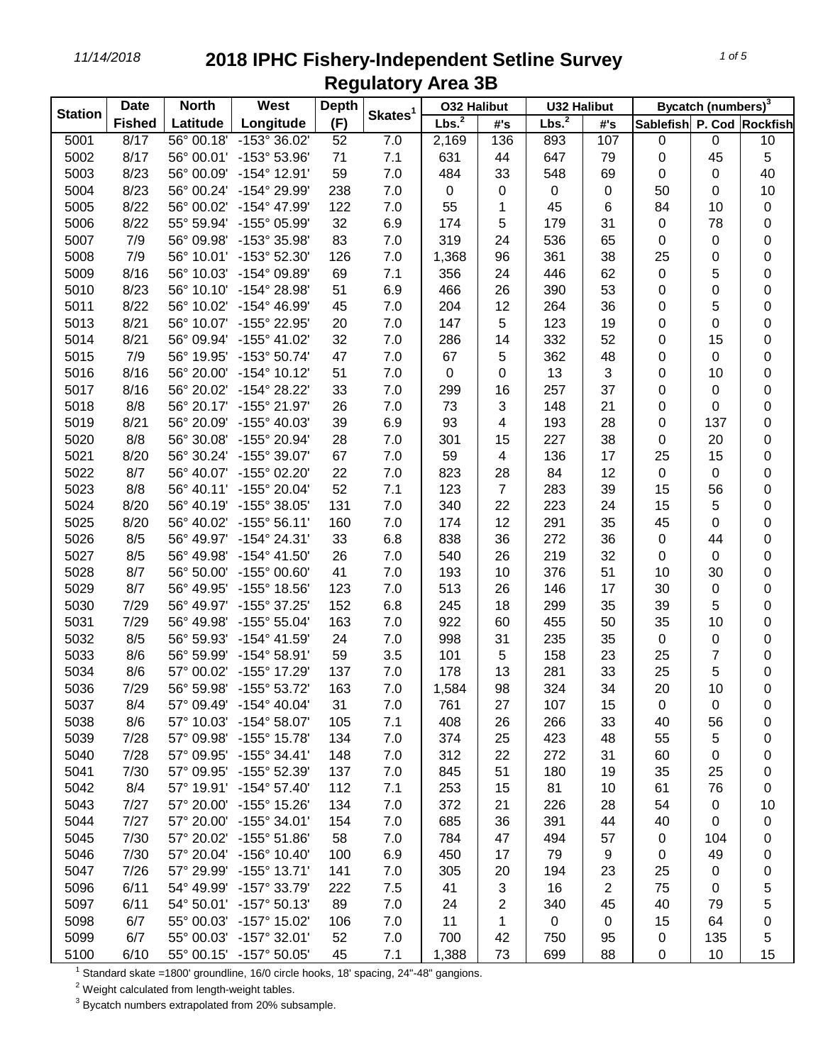## *11/14/2018* **2018 IPHC Fishery-Independent Setline Survey Regulatory Area 3B**

| <b>Station</b> | <b>Date</b>   | <b>North</b><br><b>West</b> |                       | <b>Depth</b> |                     | <b>032 Halibut</b> |                | <b>U32 Halibut</b> |                | Bycatch (numbers) <sup>3</sup> |                                                                                                                                                                                                                                                                                                                                          |           |
|----------------|---------------|-----------------------------|-----------------------|--------------|---------------------|--------------------|----------------|--------------------|----------------|--------------------------------|------------------------------------------------------------------------------------------------------------------------------------------------------------------------------------------------------------------------------------------------------------------------------------------------------------------------------------------|-----------|
|                | <b>Fished</b> | Latitude                    | Longitude             | (F)          | Skates <sup>1</sup> | Lbs. <sup>2</sup>  | #'s            | Lbs. <sup>2</sup>  | #'s            | Sablefish P. Cod Rockfish      | $\pmb{0}$<br>45<br>$\pmb{0}$<br>$\pmb{0}$<br>10<br>78<br>$\pmb{0}$<br>$\pmb{0}$<br>5<br>$\pmb{0}$<br>5<br>$\pmb{0}$<br>15<br>$\pmb{0}$<br>10<br>$\pmb{0}$<br>$\mathbf 0$<br>137<br>20<br>15<br>$\mathbf 0$<br>56<br>5<br>$\pmb{0}$<br>44<br>$\pmb{0}$<br>30<br>$\pmb{0}$<br>5<br>10<br>$\pmb{0}$<br>$\overline{7}$<br>5<br>10<br>0<br>56 |           |
| 5001           | 8/17          | 56° 00.18'                  | $-153^{\circ}36.02'$  | 52           | 7.0                 | 2,169              | 136            | 893                | 107            | 0                              |                                                                                                                                                                                                                                                                                                                                          | 10        |
| 5002           | 8/17          | 56° 00.01'                  | -153° 53.96'          | 71           | 7.1                 | 631                | 44             | 647                | 79             | 0                              |                                                                                                                                                                                                                                                                                                                                          | 5         |
| 5003           | 8/23          | 56° 00.09'                  | -154° 12.91'          | 59           | 7.0                 | 484                | 33             | 548                | 69             | 0                              |                                                                                                                                                                                                                                                                                                                                          | 40        |
| 5004           | 8/23          | 56° 00.24'                  | -154° 29.99'          | 238          | 7.0                 | 0                  | 0              | 0                  | 0              | 50                             |                                                                                                                                                                                                                                                                                                                                          | 10        |
| 5005           | 8/22          | 56° 00.02'                  | -154° 47.99'          | 122          | 7.0                 | 55                 | 1              | 45                 | 6              | 84                             |                                                                                                                                                                                                                                                                                                                                          | 0         |
| 5006           | 8/22          | 55° 59.94'                  | -155° 05.99'          | 32           | 6.9                 | 174                | 5              | 179                | 31             | $\mathbf 0$                    |                                                                                                                                                                                                                                                                                                                                          | 0         |
| 5007           | 7/9           | 56° 09.98'                  | -153° 35.98'          | 83           | 7.0                 | 319                | 24             | 536                | 65             | 0                              |                                                                                                                                                                                                                                                                                                                                          | $\pmb{0}$ |
| 5008           | 7/9           | 56° 10.01'                  | -153° 52.30'          | 126          | 7.0                 | 1,368              | 96             | 361                | 38             | 25                             |                                                                                                                                                                                                                                                                                                                                          | 0         |
| 5009           | 8/16          | 56° 10.03'                  | -154° 09.89'          | 69           | 7.1                 | 356                | 24             | 446                | 62             | $\mathbf 0$                    |                                                                                                                                                                                                                                                                                                                                          | 0         |
| 5010           | 8/23          | 56° 10.10'                  | -154° 28.98'          | 51           | 6.9                 | 466                | 26             | 390                | 53             | 0                              |                                                                                                                                                                                                                                                                                                                                          | 0         |
| 5011           | 8/22          | 56° 10.02'                  | -154° 46.99'          | 45           | 7.0                 | 204                | 12             | 264                | 36             | 0                              |                                                                                                                                                                                                                                                                                                                                          | $\pmb{0}$ |
| 5013           | 8/21          | 56° 10.07'                  | -155° 22.95'          | 20           | 7.0                 | 147                | 5              | 123                | 19             | 0                              |                                                                                                                                                                                                                                                                                                                                          | $\pmb{0}$ |
| 5014           | 8/21          | 56° 09.94'                  | -155° 41.02'          | 32           | 7.0                 | 286                | 14             | 332                | 52             | 0                              |                                                                                                                                                                                                                                                                                                                                          | $\pmb{0}$ |
| 5015           | 7/9           | 56° 19.95'                  | -153° 50.74'          | 47           | 7.0                 | 67                 | 5              | 362                | 48             | 0                              |                                                                                                                                                                                                                                                                                                                                          | $\pmb{0}$ |
| 5016           | 8/16          | 56° 20.00'                  | $-154^{\circ}$ 10.12' | 51           | 7.0                 | 0                  | 0              | 13                 | 3              | 0                              |                                                                                                                                                                                                                                                                                                                                          | $\pmb{0}$ |
| 5017           | 8/16          | 56° 20.02'                  | -154° 28.22'          | 33           | 7.0                 | 299                | 16             | 257                | 37             | 0                              |                                                                                                                                                                                                                                                                                                                                          | 0         |
| 5018           | 8/8           | 56° 20.17'                  | -155° 21.97'          | 26           | 7.0                 | 73                 | 3              | 148                | 21             | 0                              |                                                                                                                                                                                                                                                                                                                                          | 0         |
| 5019           | 8/21          | 56° 20.09'                  | -155° 40.03'          | 39           | 6.9                 | 93                 | 4              | 193                | 28             | 0                              |                                                                                                                                                                                                                                                                                                                                          | 0         |
| 5020           | 8/8           | 56° 30.08'                  | -155° 20.94'          | 28           | 7.0                 | 301                | 15             | 227                | 38             | 0                              |                                                                                                                                                                                                                                                                                                                                          | $\pmb{0}$ |
| 5021           | 8/20          | 56° 30.24'                  | -155° 39.07'          | 67           | 7.0                 | 59                 | 4              | 136                | 17             | 25                             |                                                                                                                                                                                                                                                                                                                                          | 0         |
| 5022           | 8/7           | 56° 40.07'                  | -155° 02.20'          | 22           | 7.0                 | 823                | 28             | 84                 | 12             | $\pmb{0}$                      |                                                                                                                                                                                                                                                                                                                                          | 0         |
| 5023           | 8/8           | 56° 40.11'                  | -155° 20.04'          | 52           | 7.1                 | 123                | $\overline{7}$ | 283                | 39             | 15                             |                                                                                                                                                                                                                                                                                                                                          | 0         |
| 5024           | 8/20          | 56° 40.19'                  | -155° 38.05'          | 131          | 7.0                 | 340                | 22             | 223                | 24             | 15                             |                                                                                                                                                                                                                                                                                                                                          | $\pmb{0}$ |
| 5025           | 8/20          | 56° 40.02'                  | $-155^{\circ}56.11'$  | 160          | 7.0                 | 174                | 12             | 291                | 35             | 45                             |                                                                                                                                                                                                                                                                                                                                          | 0         |
| 5026           | 8/5           | 56° 49.97'                  | $-154^{\circ}$ 24.31' | 33           | 6.8                 | 838                | 36             | 272                | 36             | $\pmb{0}$                      |                                                                                                                                                                                                                                                                                                                                          | 0         |
| 5027           | 8/5           | 56° 49.98'                  | $-154^{\circ}$ 41.50' | 26           | 7.0                 | 540                | 26             | 219                | 32             | 0                              |                                                                                                                                                                                                                                                                                                                                          | 0         |
| 5028           | 8/7           | 56° 50.00'                  | -155° 00.60'          | 41           | 7.0                 | 193                | 10             | 376                | 51             | 10                             |                                                                                                                                                                                                                                                                                                                                          | 0         |
| 5029           | 8/7           | 56° 49.95'                  | -155° 18.56'          | 123          | 7.0                 | 513                | 26             | 146                | 17             | 30                             |                                                                                                                                                                                                                                                                                                                                          | $\pmb{0}$ |
| 5030           | 7/29          | 56° 49.97'                  | -155° 37.25'          | 152          | 6.8                 | 245                | 18             | 299                | 35             | 39                             |                                                                                                                                                                                                                                                                                                                                          | $\pmb{0}$ |
| 5031           | 7/29          | 56° 49.98'                  | -155° 55.04'          | 163          | 7.0                 | 922                | 60             | 455                | 50             | 35                             |                                                                                                                                                                                                                                                                                                                                          | $\pmb{0}$ |
| 5032           | 8/5           | 56° 59.93'                  | -154° 41.59'          | 24           | 7.0                 | 998                | 31             | 235                | 35             | $\,0\,$                        |                                                                                                                                                                                                                                                                                                                                          | 0         |
| 5033           | 8/6           | 56° 59.99'                  | $-154^{\circ}58.91'$  | 59           | 3.5                 | 101                | 5              | 158                | 23             | 25                             |                                                                                                                                                                                                                                                                                                                                          | $\pmb{0}$ |
| 5034           | 8/6           | 57° 00.02'                  | -155° 17.29'          | 137          | 7.0                 | 178                | 13             | 281                | 33             | 25                             |                                                                                                                                                                                                                                                                                                                                          | 0         |
| 5036           | 7/29          | 56° 59.98'                  | -155° 53.72'          | 163          | 7.0                 | 1,584              | 98             | 324                | 34             | 20                             |                                                                                                                                                                                                                                                                                                                                          | 0         |
| 5037           | 8/4           | 57° 09.49'                  | $-154^{\circ}$ 40.04' | 31           | 7.0                 | 761                | 27             | 107                | 15             | 0                              |                                                                                                                                                                                                                                                                                                                                          | 0         |
| 5038           | 8/6           | 57° 10.03'                  | -154° 58.07'          | 105          | 7.1                 | 408                | 26             | 266                | 33             | 40                             |                                                                                                                                                                                                                                                                                                                                          | 0         |
| 5039           | 7/28          | 57° 09.98'                  | -155° 15.78'          | 134          | 7.0                 | 374                | 25             | 423                | 48             | 55                             | 5                                                                                                                                                                                                                                                                                                                                        | 0         |
| 5040           | 7/28          | 57° 09.95'                  | $-155^{\circ}$ 34.41' | 148          | 7.0                 | 312                | 22             | 272                | 31             | 60                             | $\pmb{0}$                                                                                                                                                                                                                                                                                                                                | 0         |
| 5041           | 7/30          | 57° 09.95'                  | -155° 52.39'          | 137          | 7.0                 | 845                | 51             | 180                | 19             | 35                             | 25                                                                                                                                                                                                                                                                                                                                       | 0         |
| 5042           | 8/4           | 57° 19.91'                  | $-154^{\circ}57.40'$  | 112          | 7.1                 | 253                | 15             | 81                 | 10             | 61                             | 76                                                                                                                                                                                                                                                                                                                                       | 0         |
| 5043           | 7/27          | 57° 20.00'                  | -155° 15.26'          | 134          | 7.0                 | 372                | 21             | 226                | 28             | 54                             | $\pmb{0}$                                                                                                                                                                                                                                                                                                                                | 10        |
| 5044           | 7/27          | 57° 20.00'                  | -155° 34.01'          | 154          | 7.0                 | 685                | 36             | 391                | 44             | 40                             | 0                                                                                                                                                                                                                                                                                                                                        | 0         |
| 5045           | 7/30          | 57° 20.02'                  | -155° 51.86'          | 58           | 7.0                 | 784                | 47             | 494                | 57             | 0                              | 104                                                                                                                                                                                                                                                                                                                                      | 0         |
| 5046           | 7/30          | 57° 20.04'                  | -156° 10.40'          | 100          | 6.9                 | 450                | 17             | 79                 | 9              | 0                              | 49                                                                                                                                                                                                                                                                                                                                       | 0         |
| 5047           | 7/26          | 57° 29.99'                  | -155° 13.71'          | 141          | 7.0                 | 305                | 20             | 194                | 23             | 25                             | $\pmb{0}$                                                                                                                                                                                                                                                                                                                                | 0         |
| 5096           | 6/11          | 54° 49.99'                  | -157° 33.79'          | 222          | 7.5                 | 41                 | 3              | 16                 | $\overline{2}$ | 75                             | 0                                                                                                                                                                                                                                                                                                                                        | 5         |
| 5097           | 6/11          | 54° 50.01'                  | $-157^{\circ} 50.13'$ | 89           | 7.0                 | 24                 | 2              | 340                | 45             | 40                             | 79                                                                                                                                                                                                                                                                                                                                       | 5         |
| 5098           | 6/7           | 55° 00.03'                  | $-157^{\circ}$ 15.02' | 106          | 7.0                 | 11                 | 1              | $\mathbf 0$        | 0              | 15                             | 64                                                                                                                                                                                                                                                                                                                                       | 0         |
| 5099           | 6/7           | 55° 00.03'                  | $-157^{\circ}$ 32.01' | 52           | 7.0                 | 700                | 42             | 750                | 95             | $\pmb{0}$                      | 135                                                                                                                                                                                                                                                                                                                                      | 5         |
| 5100           | 6/10          | 55° 00.15'                  | $-157^{\circ} 50.05'$ | 45           | 7.1                 | 1,388              | 73             | 699                | 88             | $\,0\,$                        | 10                                                                                                                                                                                                                                                                                                                                       | 15        |

Standard skate =1800' groundline, 16/0 circle hooks, 18' spacing, 24"-48" gangions.

Weight calculated from length-weight tables.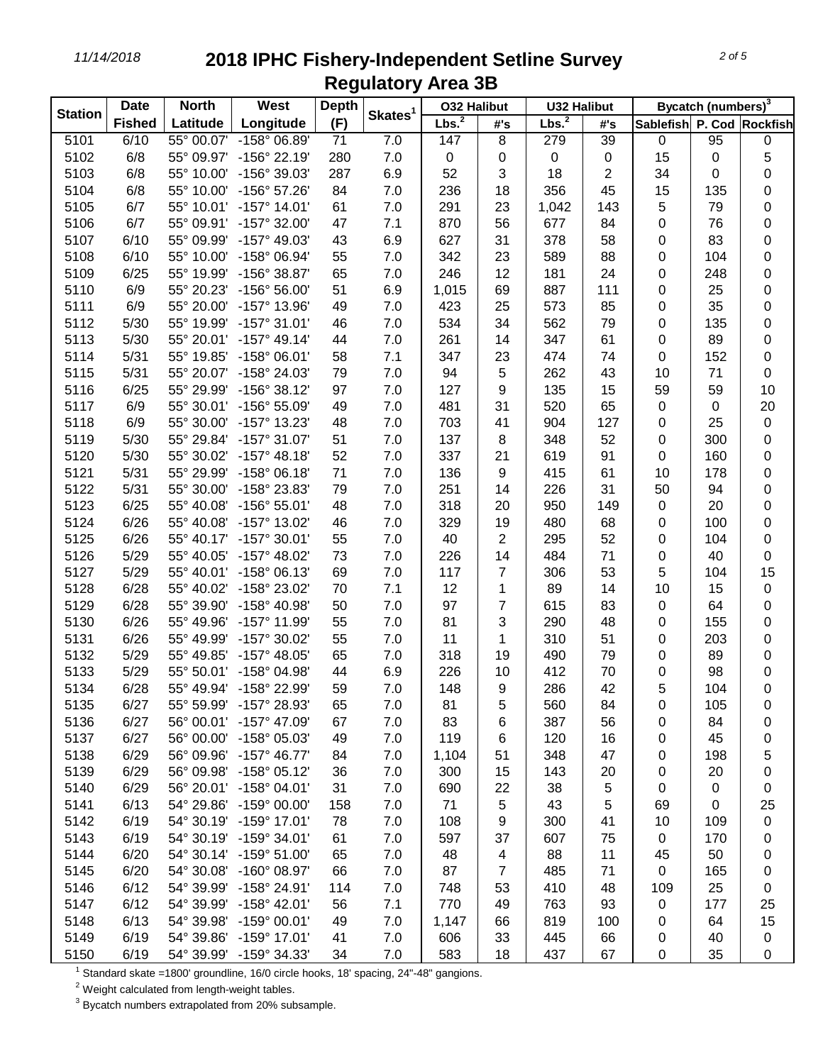*11/14/2018* **2018 IPHC Fishery-Independent Setline Survey Regulatory Area 3B**

| <b>Station</b> | <b>Date</b>   | <b>North</b> | West                    | <b>Depth</b> | Skates <sup>1</sup> | <b>032 Halibut</b> |                         | <b>U32 Halibut</b> |     |                           | Bycatch (numbers) <sup>3</sup> |             |
|----------------|---------------|--------------|-------------------------|--------------|---------------------|--------------------|-------------------------|--------------------|-----|---------------------------|--------------------------------|-------------|
|                | <b>Fished</b> | Latitude     | Longitude               | (F)          |                     | Lbs. <sup>2</sup>  | #'s                     | Lbs. <sup>2</sup>  | #'s | Sablefish P. Cod Rockfish |                                |             |
| 5101           | 6/10          | 55° 00.07'   | -158° 06.89'            | 71           | 7.0                 | 147                | 8                       | 279                | 39  | 0                         | 95                             | 0           |
| 5102           | 6/8           | 55° 09.97'   | -156° 22.19'            | 280          | 7.0                 | 0                  | 0                       | 0                  | 0   | 15                        | 0                              | 5           |
| 5103           | 6/8           | 55° 10.00'   | -156° 39.03'            | 287          | 6.9                 | 52                 | 3                       | 18                 | 2   | 34                        | $\mathbf 0$                    | 0           |
| 5104           | 6/8           | 55° 10.00'   | -156° 57.26'            | 84           | 7.0                 | 236                | 18                      | 356                | 45  | 15                        | 135                            | 0           |
| 5105           | 6/7           | 55° 10.01'   | $-157^{\circ}$ 14.01'   | 61           | 7.0                 | 291                | 23                      | 1,042              | 143 | 5                         | 79                             | 0           |
| 5106           | 6/7           | 55° 09.91'   | -157° 32.00'            | 47           | 7.1                 | 870                | 56                      | 677                | 84  | 0                         | 76                             | 0           |
| 5107           | 6/10          | 55° 09.99'   | -157° 49.03'            | 43           | 6.9                 | 627                | 31                      | 378                | 58  | 0                         | 83                             | 0           |
| 5108           | 6/10          | 55° 10.00'   | -158° 06.94'            | 55           | 7.0                 | 342                | 23                      | 589                | 88  | 0                         | 104                            | 0           |
| 5109           | 6/25          | 55° 19.99'   | -156° 38.87'            | 65           | 7.0                 | 246                | 12                      | 181                | 24  | $\mathbf 0$               | 248                            | 0           |
| 5110           | 6/9           | 55° 20.23'   | -156° 56.00'            | 51           | 6.9                 | 1,015              | 69                      | 887                | 111 | $\mathbf 0$               | 25                             | 0           |
| 5111           | 6/9           | 55° 20.00'   | -157° 13.96'            | 49           | 7.0                 | 423                | 25                      | 573                | 85  | 0                         | 35                             | 0           |
| 5112           | 5/30          | 55° 19.99'   | $-157°31.01'$           | 46           | 7.0                 | 534                | 34                      | 562                | 79  | $\mathbf 0$               | 135                            | 0           |
| 5113           | 5/30          | 55° 20.01'   | $-157^{\circ}$ 49.14'   | 44           | 7.0                 | 261                | 14                      | 347                | 61  | $\mathbf 0$               | 89                             | 0           |
| 5114           | 5/31          | 55° 19.85'   | $-158^{\circ}$ 06.01'   | 58           | 7.1                 | 347                | 23                      | 474                | 74  | $\boldsymbol{0}$          | 152                            | 0           |
| 5115           | 5/31          | 55° 20.07'   | -158° 24.03'            | 79           | 7.0                 | 94                 | 5                       | 262                | 43  | 10                        | 71                             | $\mathbf 0$ |
| 5116           | 6/25          | 55° 29.99'   | -156° 38.12'            | 97           | 7.0                 | 127                | 9                       | 135                | 15  | 59                        | 59                             | 10          |
| 5117           | 6/9           | 55° 30.01'   | -156° 55.09'            | 49           | 7.0                 | 481                | 31                      | 520                | 65  | 0                         | 0                              | 20          |
| 5118           | 6/9           | 55° 30.00'   | -157° 13.23'            | 48           | 7.0                 | 703                | 41                      | 904                | 127 | 0                         | 25                             | $\pmb{0}$   |
| 5119           | 5/30          | 55° 29.84'   | -157° 31.07'            | 51           | 7.0                 | 137                | 8                       | 348                | 52  | 0                         | 300                            | 0           |
| 5120           | 5/30          | 55° 30.02'   | $-157^{\circ}$ 48.18'   | 52           | 7.0                 | 337                | 21                      | 619                | 91  | $\boldsymbol{0}$          | 160                            | 0           |
| 5121           | 5/31          | 55° 29.99'   | $-158^{\circ}$ 06.18'   | 71           | 7.0                 | 136                | 9                       | 415                | 61  | 10                        | 178                            | 0           |
| 5122           | 5/31          | 55° 30.00'   | -158° 23.83'            | 79           | 7.0                 | 251                | 14                      | 226                | 31  | 50                        | 94                             | 0           |
| 5123           | 6/25          | 55° 40.08'   | $-156^{\circ} 55.01'$   | 48           | 7.0                 | 318                | 20                      | 950                | 149 | 0                         | 20                             | 0           |
| 5124           | 6/26          | 55° 40.08'   | -157° 13.02'            | 46           | 7.0                 | 329                | 19                      | 480                | 68  | 0                         | 100                            | 0           |
| 5125           | 6/26          | 55° 40.17'   | -157° 30.01'            | 55           | 7.0                 | 40                 | 2                       | 295                | 52  | 0                         | 104                            | 0           |
| 5126           | 5/29          | 55° 40.05'   | -157° 48.02'            | 73           | 7.0                 | 226                | 14                      | 484                | 71  | $\mathbf 0$               | 40                             | 0           |
| 5127           | 5/29          | 55° 40.01'   | $-158^{\circ}$ 06.13'   | 69           | 7.0                 | 117                | 7                       | 306                | 53  | 5                         | 104                            | 15          |
| 5128           | 6/28          | 55° 40.02'   | -158° 23.02'            | 70           | 7.1                 | 12                 | 1                       | 89                 | 14  | 10                        | 15                             | $\pmb{0}$   |
| 5129           | 6/28          | 55° 39.90'   | -158° 40.98'            | 50           | 7.0                 | 97                 | 7                       | 615                | 83  | $\pmb{0}$                 | 64                             | 0           |
| 5130           | 6/26          | 55° 49.96'   | -157° 11.99'            | 55           | 7.0                 | 81                 | 3                       | 290                | 48  | 0                         | 155                            | 0           |
| 5131           | 6/26          | 55° 49.99'   | -157° 30.02'            | 55           | 7.0                 | 11                 | 1                       | 310                | 51  | 0                         | 203                            | 0           |
| 5132           | 5/29          | 55° 49.85'   | $-157^{\circ}$ 48.05'   | 65           | 7.0                 | 318                | 19                      | 490                | 79  | 0                         | 89                             | 0           |
| 5133           | 5/29          | 55° 50.01'   | -158° 04.98'            | 44           | 6.9                 | 226                | 10                      | 412                | 70  | 0                         | 98                             | 0           |
| 5134           | 6/28          | 55° 49.94'   | -158° 22.99'            | 59           | 7.0                 | 148                | 9                       | 286                | 42  | 5                         | 104                            | 0           |
| 5135           | 6/27          | 55° 59.99'   | $-157^{\circ}$ 28.93    | 65           | 7.0                 | 81                 |                         | 560                | 84  | 0                         | 105                            | 0           |
| 5136           | 6/27          | 56° 00.01'   | -157° 47.09'            | 67           | 7.0                 | 83                 | 5<br>6                  | 387                | 56  |                           | 84                             |             |
| 5137           | 6/27          | 56° 00.00'   | -158° 05.03'            | 49           | 7.0                 | 119                |                         | 120                | 16  | 0                         | 45                             | 0           |
| 5138           | 6/29          | 56° 09.96'   | $-157^{\circ}$ 46.77'   | 84           | 7.0                 | 1,104              | 6<br>51                 | 348                | 47  | 0                         | 198                            | 0<br>5      |
| 5139           | 6/29          | 56° 09.98'   | $-158^{\circ}$ 05.12'   | 36           | 7.0                 | 300                |                         | 143                |     | 0                         | 20                             |             |
|                |               |              | $-158^{\circ}$ 04.01'   |              |                     |                    | 15                      |                    | 20  | 0                         |                                | 0           |
| 5140           | 6/29          | 56° 20.01'   |                         | 31           | 7.0                 | 690                | 22                      | 38                 | 5   | $\pmb{0}$                 | 0                              | 0           |
| 5141           | 6/13          | 54° 29.86'   | $-159^{\circ}$ 00.00'   | 158          | 7.0                 | 71                 | 5                       | 43                 | 5   | 69                        | 0                              | 25          |
| 5142           | 6/19          | 54° 30.19'   | -159° 17.01'            | 78           | 7.0                 | 108                | 9                       | 300                | 41  | 10                        | 109                            | $\pmb{0}$   |
| 5143           | 6/19          | 54° 30.19'   | -159° 34.01'            | 61           | 7.0                 | 597                | 37                      | 607                | 75  | $\pmb{0}$                 | 170                            | 0           |
| 5144           | 6/20          | 54° 30.14'   | -159° 51.00'            | 65           | 7.0                 | 48                 | $\overline{\mathbf{4}}$ | 88                 | 11  | 45                        | 50                             | 0           |
| 5145           | 6/20          | 54° 30.08'   | -160° 08.97'            | 66           | 7.0                 | 87                 | $\overline{7}$          | 485                | 71  | $\pmb{0}$                 | 165                            | 0           |
| 5146           | 6/12          | 54° 39.99'   | -158° 24.91'            | 114          | 7.0                 | 748                | 53                      | 410                | 48  | 109                       | 25                             | 0           |
| 5147           | 6/12          | 54° 39.99'   | -158° 42.01'            | 56           | 7.1                 | 770                | 49                      | 763                | 93  | $\pmb{0}$                 | 177                            | 25          |
| 5148           | 6/13          | 54° 39.98'   | -159° 00.01'            | 49           | 7.0                 | 1,147              | 66                      | 819                | 100 | 0                         | 64                             | 15          |
| 5149           | 6/19          | 54° 39.86'   | -159° 17.01'            | 41           | 7.0                 | 606                | 33                      | 445                | 66  | 0                         | 40                             | 0           |
| 5150           | 6/19          |              | 54° 39.99' -159° 34.33' | 34           | 7.0                 | 583                | 18                      | 437                | 67  | 0                         | 35                             | 0           |

Standard skate =1800' groundline, 16/0 circle hooks, 18' spacing, 24"-48" gangions.

Weight calculated from length-weight tables.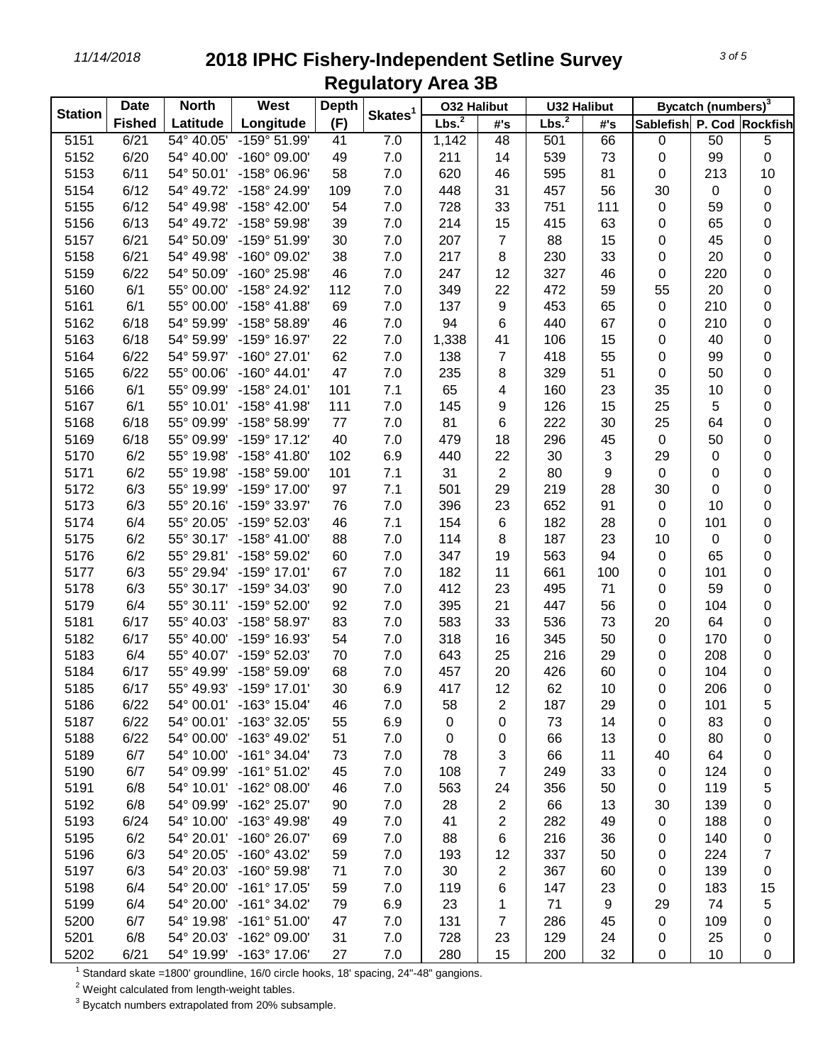## *11/14/2018* **2018 IPHC Fishery-Independent Setline Survey Regulatory Area 3B**

|                | <b>Date</b>   | <b>North</b> | West                    | <b>Depth</b> |                     | <b>032 Halibut</b> |                | <b>U32 Halibut</b> |     |                           | Bycatch (numbers) <sup>3</sup> |             |
|----------------|---------------|--------------|-------------------------|--------------|---------------------|--------------------|----------------|--------------------|-----|---------------------------|--------------------------------|-------------|
| <b>Station</b> | <b>Fished</b> | Latitude     | Longitude               | (F)          | Skates <sup>1</sup> | Lbs. <sup>2</sup>  | #'s            | Lbs. <sup>2</sup>  | #'s | Sablefish P. Cod Rockfish |                                |             |
| 5151           | 6/21          | 54° 40.05'   | $-159°$ 51.99'          | 41           | 7.0                 | 1,142              | 48             | 501                | 66  | 0                         | 50                             | 5           |
| 5152           | 6/20          | 54° 40.00'   | $-160^{\circ}$ 09.00'   | 49           | 7.0                 | 211                | 14             | 539                | 73  | 0                         | 99                             | $\pmb{0}$   |
| 5153           | 6/11          | 54° 50.01'   | -158° 06.96'            | 58           | 7.0                 | 620                | 46             | 595                | 81  | $\boldsymbol{0}$          | 213                            | 10          |
| 5154           | 6/12          | 54° 49.72'   | -158° 24.99'            | 109          | 7.0                 | 448                | 31             | 457                | 56  | 30                        | $\pmb{0}$                      | 0           |
| 5155           | 6/12          | 54° 49.98'   | -158° 42.00'            | 54           | $7.0$               | 728                | 33             | 751                | 111 | $\mathbf 0$               | 59                             | 0           |
| 5156           | 6/13          | 54° 49.72'   | -158° 59.98'            | 39           | $7.0\,$             | 214                | 15             | 415                | 63  | $\mathbf 0$               | 65                             | $\pmb{0}$   |
| 5157           | 6/21          | 54° 50.09'   | -159° 51.99'            | 30           | 7.0                 | 207                | $\overline{7}$ | 88                 | 15  | $\mathbf 0$               | 45                             | 0           |
| 5158           | 6/21          | 54° 49.98'   | -160° 09.02'            | 38           | 7.0                 | 217                | 8              | 230                | 33  | $\mathbf 0$               | 20                             | $\pmb{0}$   |
| 5159           | 6/22          | 54° 50.09'   | -160° 25.98'            | 46           | 7.0                 | 247                | 12             | 327                | 46  | 0                         | 220                            | 0           |
| 5160           | 6/1           | 55° 00.00'   | -158° 24.92'            | 112          | 7.0                 | 349                | 22             | 472                | 59  | 55                        | 20                             | $\pmb{0}$   |
| 5161           | 6/1           | 55° 00.00'   | -158° 41.88'            | 69           | 7.0                 | 137                | 9              | 453                | 65  | 0                         | 210                            | $\pmb{0}$   |
| 5162           | 6/18          | 54° 59.99'   | -158° 58.89'            | 46           | $7.0$               | 94                 | 6              | 440                | 67  | 0                         | 210                            | $\pmb{0}$   |
| 5163           | 6/18          | 54° 59.99'   | -159° 16.97'            | 22           | 7.0                 | 1,338              | 41             | 106                | 15  | 0                         | 40                             | 0           |
| 5164           | 6/22          | 54° 59.97'   | -160° 27.01'            | 62           | 7.0                 | 138                | $\overline{7}$ | 418                | 55  | 0                         | 99                             | 0           |
| 5165           | 6/22          | 55° 00.06'   | $-160^{\circ}$ 44.01'   | 47           | 7.0                 | 235                | 8              | 329                | 51  | 0                         | 50                             | 0           |
| 5166           | 6/1           | 55° 09.99'   | -158° 24.01'            | 101          | 7.1                 | 65                 | 4              | 160                | 23  | 35                        | 10                             | 0           |
| 5167           | 6/1           | 55° 10.01'   | -158° 41.98'            | 111          | 7.0                 | 145                | 9              | 126                | 15  | 25                        | 5                              | 0           |
| 5168           | 6/18          | 55° 09.99'   | -158° 58.99'            | 77           | 7.0                 | 81                 | 6              | 222                | 30  | 25                        | 64                             | $\pmb{0}$   |
| 5169           | 6/18          | 55° 09.99'   | -159° 17.12'            | 40           | 7.0                 | 479                | 18             | 296                | 45  | $\pmb{0}$                 | 50                             | $\pmb{0}$   |
| 5170           | 6/2           | 55° 19.98'   | -158° 41.80'            | 102          | 6.9                 | 440                | 22             | 30                 | 3   | 29                        | $\pmb{0}$                      | $\pmb{0}$   |
| 5171           | 6/2           | 55° 19.98'   | -158° 59.00'            | 101          | 7.1                 | 31                 | $\overline{2}$ | 80                 | 9   | $\pmb{0}$                 | $\pmb{0}$                      | 0           |
| 5172           | 6/3           | 55° 19.99'   | -159° 17.00'            | 97           | 7.1                 | 501                | 29             | 219                | 28  | 30                        | $\pmb{0}$                      | $\pmb{0}$   |
| 5173           | 6/3           | 55° 20.16'   | -159° 33.97'            | 76           | 7.0                 | 396                | 23             | 652                | 91  | $\mathbf 0$               | 10                             | 0           |
| 5174           | 6/4           | 55° 20.05'   | -159° 52.03'            | 46           | 7.1                 | 154                | $\,6\,$        | 182                | 28  | $\boldsymbol{0}$          | 101                            | 0           |
| 5175           | 6/2           | 55° 30.17'   | $-158^{\circ}$ 41.00'   | 88           | 7.0                 | 114                | 8              | 187                | 23  | 10                        | $\boldsymbol{0}$               | 0           |
| 5176           | 6/2           | 55° 29.81'   | -158° 59.02'            | 60           | 7.0                 | 347                | 19             | 563                | 94  | $\,0\,$                   | 65                             | $\mathbf 0$ |
| 5177           | 6/3           | 55° 29.94'   | -159° 17.01'            | 67           | 7.0                 | 182                | 11             | 661                | 100 | 0                         | 101                            | $\pmb{0}$   |
| 5178           | 6/3           | 55° 30.17'   | -159° 34.03'            | 90           | 7.0                 | 412                | 23             | 495                | 71  | 0                         | 59                             | 0           |
| 5179           | 6/4           | 55° 30.11'   | -159° 52.00'            | 92           | $7.0$               | 395                | 21             | 447                | 56  | 0                         | 104                            | $\pmb{0}$   |
| 5181           | 6/17          | 55° 40.03'   | -158° 58.97'            | 83           | 7.0                 | 583                | 33             | 536                | 73  | 20                        | 64                             | 0           |
| 5182           | 6/17          | 55° 40.00'   | -159° 16.93'            | 54           | 7.0                 | 318                | 16             | 345                | 50  | $\,0\,$                   | 170                            | 0           |
| 5183           | 6/4           | 55° 40.07'   | -159° 52.03'            | 70           | 7.0                 | 643                | 25             | 216                | 29  | 0                         | 208                            | 0           |
| 5184           | 6/17          | 55° 49.99'   | -158° 59.09'            | 68           | 7.0                 | 457                | 20             | 426                | 60  | 0                         | 104                            | 0           |
| 5185           | 6/17          | 55° 49.93'   | -159° 17.01'            | 30           | 6.9                 | 417                | 12             | 62                 | 10  | 0                         | 206                            | 0           |
| 5186           | 6/22          | 54° 00.01'   | -163° 15.04'            | 46           | 7.0                 | 58                 | 2              | 187                | 29  | 0                         | 101                            | 5           |
| 5187           | 6/22          | 54° 00.01'   | -163° 32.05'            | 55           | 6.9                 | 0                  | 0              | 73                 | 14  | 0                         | 83                             | 0           |
| 5188           | 6/22          | 54° 00.00'   | -163° 49.02'            | 51           | 7.0                 | 0                  | 0              | 66                 | 13  | $\pmb{0}$                 | 80                             | 0           |
| 5189           | 6/7           | 54° 10.00'   | $-161°34.04'$           | 73           | 7.0                 | 78                 | 3              | 66                 | 11  | 40                        | 64                             | 0           |
| 5190           | 6/7           | 54° 09.99'   | $-161°51.02'$           | 45           | 7.0                 | 108                | $\overline{7}$ | 249                | 33  | $\pmb{0}$                 | 124                            | 0           |
| 5191           | 6/8           | 54° 10.01'   | -162° 08.00'            | 46           | 7.0                 | 563                | 24             | 356                | 50  | 0                         | 119                            | 5           |
| 5192           | 6/8           | 54° 09.99'   | -162° 25.07'            | 90           | 7.0                 | 28                 | $\overline{c}$ | 66                 | 13  | 30                        | 139                            | 0           |
| 5193           | 6/24          | 54° 10.00'   | -163° 49.98'            | 49           | 7.0                 | 41                 | 2              | 282                | 49  | $\pmb{0}$                 | 188                            | 0           |
| 5195           | 6/2           | 54° 20.01'   | -160° 26.07'            | 69           | 7.0                 | 88                 | 6              | 216                | 36  | 0                         | 140                            | 0           |
| 5196           | 6/3           | 54° 20.05'   | $-160^{\circ}$ 43.02'   | 59           | 7.0                 | 193                | 12             | 337                | 50  | 0                         | 224                            | 7           |
| 5197           | 6/3           | 54° 20.03'   | -160° 59.98'            | 71           | 7.0                 | 30                 | 2              | 367                | 60  | 0                         | 139                            | 0           |
| 5198           | 6/4           | 54° 20.00'   | -161° 17.05'            | 59           | 7.0                 | 119                | 6              | 147                | 23  | 0                         | 183                            | 15          |
| 5199           | 6/4           | 54° 20.00'   | -161° 34.02'            | 79           | 6.9                 | 23                 | 1              | 71                 | 9   | 29                        | 74                             | 5           |
| 5200           | 6/7           | 54° 19.98'   | $-161°51.00'$           | 47           | 7.0                 | 131                | 7              | 286                | 45  | $\pmb{0}$                 | 109                            | 0           |
| 5201           | 6/8           | 54° 20.03'   | -162° 09.00'            | 31           | 7.0                 | 728                | 23             | 129                | 24  | 0                         | 25                             | 0           |
| 5202           | 6/21          |              | 54° 19.99' -163° 17.06' | 27           | $7.0$               | 280                | 15             | 200                | 32  | $\pmb{0}$                 | 10                             | 0           |

Standard skate =1800' groundline, 16/0 circle hooks, 18' spacing, 24"-48" gangions.

Weight calculated from length-weight tables.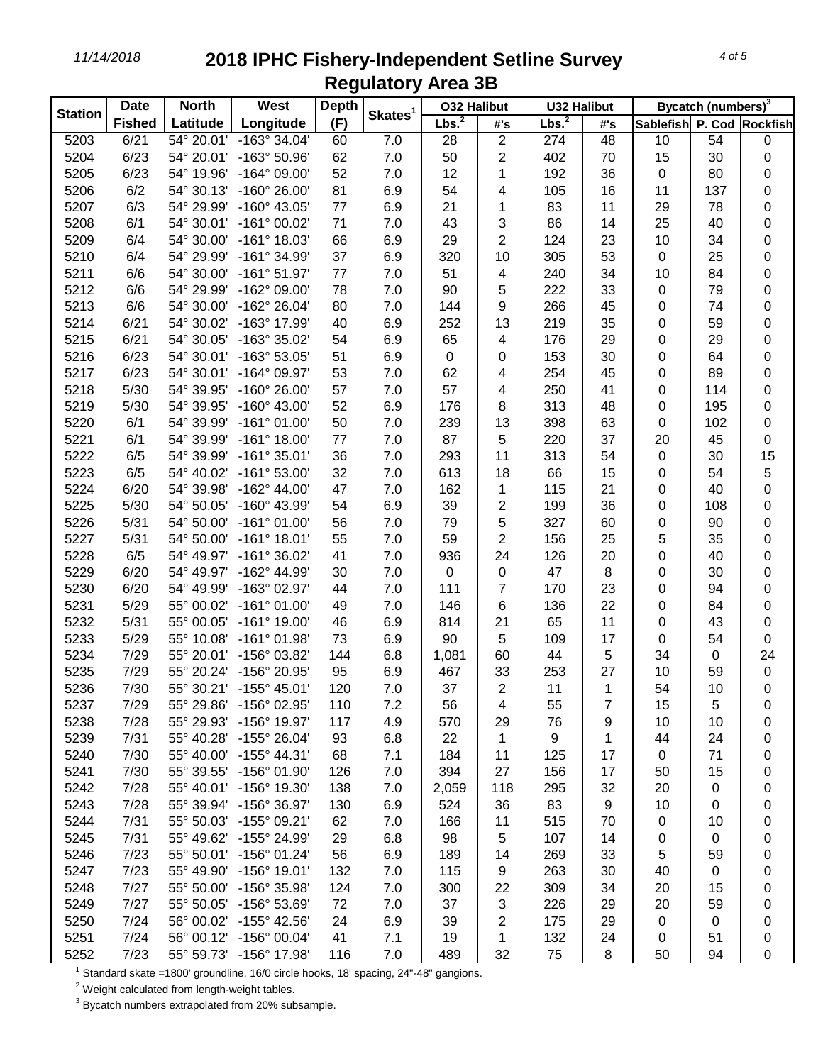## *11/14/2018* **2018 IPHC Fishery-Independent Setline Survey Regulatory Area 3B**

| <b>Station</b> | <b>Date</b>   | <b>North</b> | West                    | <b>Depth</b> |                     | <b>032 Halibut</b> |                  | <b>U32 Halibut</b> |     | Bycatch (numbers) <sup>3</sup> |           |             |
|----------------|---------------|--------------|-------------------------|--------------|---------------------|--------------------|------------------|--------------------|-----|--------------------------------|-----------|-------------|
|                | <b>Fished</b> | Latitude     | Longitude               | (F)          | Skates <sup>1</sup> | Lbs. <sup>2</sup>  | #'s              | Lbs. <sup>2</sup>  | #'s | Sablefish P. Cod Rockfish      |           |             |
| 5203           | 6/21          | 54° 20.01'   | $-163^\circ$ 34.04'     | 60           | 7.0                 | 28                 | $\overline{2}$   | 274                | 48  | 10                             | 54        | 0           |
| 5204           | 6/23          | 54° 20.01'   | -163° 50.96'            | 62           | 7.0                 | 50                 | $\overline{c}$   | 402                | 70  | 15                             | 30        | 0           |
| 5205           | 6/23          | 54° 19.96'   | $-164^{\circ}$ 09.00'   | 52           | 7.0                 | 12                 | 1                | 192                | 36  | $\mathbf 0$                    | 80        | $\pmb{0}$   |
| 5206           | 6/2           | 54° 30.13'   | $-160^{\circ}$ 26.00'   | 81           | 6.9                 | 54                 | 4                | 105                | 16  | 11                             | 137       | 0           |
| 5207           | 6/3           | 54° 29.99'   | -160° 43.05'            | 77           | 6.9                 | 21                 | 1                | 83                 | 11  | 29                             | 78        | 0           |
| 5208           | 6/1           | 54° 30.01'   | $-161°00.02'$           | 71           | 7.0                 | 43                 | 3                | 86                 | 14  | 25                             | 40        | 0           |
| 5209           | 6/4           | 54° 30.00'   | $-161°$ 18.03'          | 66           | 6.9                 | 29                 | $\overline{c}$   | 124                | 23  | 10                             | 34        | $\pmb{0}$   |
| 5210           | 6/4           | 54° 29.99'   | -161° 34.99'            | 37           | 6.9                 | 320                | 10               | 305                | 53  | $\,0\,$                        | 25        | 0           |
| 5211           | 6/6           | 54° 30.00'   | $-161°51.97'$           | 77           | 7.0                 | 51                 | 4                | 240                | 34  | 10                             | 84        | 0           |
| 5212           | 6/6           | 54° 29.99'   | -162° 09.00'            | 78           | 7.0                 | 90                 | 5                | 222                | 33  | 0                              | 79        | 0           |
| 5213           | 6/6           | 54° 30.00'   | -162° 26.04'            | 80           | 7.0                 | 144                | 9                | 266                | 45  | 0                              | 74        | $\pmb{0}$   |
| 5214           | 6/21          | 54° 30.02'   | -163° 17.99'            | 40           | 6.9                 | 252                | 13               | 219                | 35  | 0                              | 59        | 0           |
| 5215           | 6/21          | 54° 30.05'   | -163° 35.02'            | 54           | 6.9                 | 65                 | 4                | 176                | 29  | 0                              | 29        | $\pmb{0}$   |
| 5216           | 6/23          | 54° 30.01'   | -163° 53.05'            | 51           | 6.9                 | 0                  | 0                | 153                | 30  | 0                              | 64        | 0           |
| 5217           | 6/23          | 54° 30.01'   | -164° 09.97'            | 53           | 7.0                 | 62                 | 4                | 254                | 45  | 0                              | 89        | $\pmb{0}$   |
| 5218           | 5/30          | 54° 39.95'   | $-160^{\circ}$ 26.00'   | 57           | 7.0                 | 57                 | 4                | 250                | 41  | 0                              | 114       | 0           |
| 5219           | 5/30          | 54° 39.95'   | $-160^{\circ}$ 43.00'   | 52           | 6.9                 | 176                | 8                | 313                | 48  | 0                              | 195       | 0           |
| 5220           | 6/1           | 54° 39.99'   | $-161°01.00'$           | 50           | 7.0                 | 239                | 13               | 398                | 63  | 0                              | 102       | 0           |
| 5221           | 6/1           | 54° 39.99'   | $-161^{\circ}$ 18.00'   | 77           | 7.0                 | 87                 | 5                | 220                | 37  | 20                             | 45        | $\pmb{0}$   |
| 5222           | 6/5           | 54° 39.99'   | $-161°35.01'$           | 36           | 7.0                 | 293                | 11               | 313                | 54  | $\mathbf 0$                    | 30        | 15          |
| 5223           | 6/5           | 54° 40.02'   | $-161°53.00'$           | 32           | 7.0                 | 613                | 18               | 66                 | 15  | 0                              | 54        | 5           |
| 5224           | 6/20          | 54° 39.98'   | $-162^{\circ}$ 44.00'   | 47           | 7.0                 | 162                | 1                | 115                | 21  | 0                              | 40        | 0           |
| 5225           | 5/30          | 54° 50.05'   | -160° 43.99'            | 54           | 6.9                 | 39                 | $\overline{c}$   | 199                | 36  | 0                              | 108       | 0           |
| 5226           | 5/31          | 54° 50.00'   | $-161°01.00'$           | 56           | 7.0                 | 79                 | 5                | 327                | 60  | 0                              | 90        | 0           |
| 5227           | 5/31          | 54° 50.00'   | $-161°$ 18.01'          | 55           | 7.0                 | 59                 | $\overline{c}$   | 156                | 25  | 5                              | 35        | 0           |
| 5228           | 6/5           | 54° 49.97'   | $-161°36.02'$           | 41           | 7.0                 | 936                | 24               | 126                | 20  | 0                              | 40        | 0           |
| 5229           | 6/20          | 54° 49.97'   | -162° 44.99'            | 30           | 7.0                 | 0                  | $\boldsymbol{0}$ | 47                 | 8   | 0                              | 30        | 0           |
| 5230           | 6/20          | 54° 49.99'   | -163° 02.97'            | 44           | 7.0                 | 111                | $\overline{7}$   | 170                | 23  | 0                              | 94        | $\pmb{0}$   |
| 5231           | 5/29          | 55° 00.02'   | $-161°01.00'$           | 49           | 7.0                 | 146                | 6                | 136                | 22  | 0                              | 84        | 0           |
| 5232           | 5/31          | 55° 00.05'   | $-161^{\circ}$ 19.00'   | 46           | 6.9                 | 814                | 21               | 65                 | 11  | 0                              | 43        | $\pmb{0}$   |
| 5233           | 5/29          | 55° 10.08'   | $-161°01.98'$           | 73           | 6.9                 | 90                 | 5                | 109                | 17  | 0                              | 54        | 0           |
| 5234           | 7/29          | 55° 20.01'   | -156° 03.82'            | 144          | 6.8                 | 1,081              | 60               | 44                 | 5   | 34                             | $\pmb{0}$ | 24          |
| 5235           | 7/29          | 55° 20.24'   | -156° 20.95'            | 95           | 6.9                 | 467                | 33               | 253                | 27  | 10                             | 59        | $\mathbf 0$ |
| 5236           | 7/30          |              | 55° 30.21' -155° 45.01' | 120          | 7.0                 | 37                 | $\overline{2}$   | 11                 | 1   | 54                             | 10        | 0           |
| 5237           | 7/29          | 55° 29.86'   | -156° 02.95'            | 110          | 7.2                 | 56                 | 4                | 55                 | 7   | 15                             | 5         | 0           |
| 5238           | 7/28          | 55° 29.93'   | -156° 19.97'            | 117          | 4.9                 | 570                | 29               | 76                 | 9   | 10                             | 10        | 0           |
| 5239           | 7/31          | 55° 40.28'   | $-155^{\circ}$ 26.04'   | 93           | 6.8                 | 22                 | $\mathbf 1$      | 9                  | 1   | 44                             | 24        | 0           |
| 5240           | 7/30          | 55° 40.00'   | $-155^{\circ}$ 44.31'   | 68           | 7.1                 | 184                | 11               | 125                | 17  | $\pmb{0}$                      | 71        | 0           |
| 5241           | 7/30          | 55° 39.55'   | -156° 01.90'            | 126          | 7.0                 | 394                | 27               | 156                | 17  | 50                             | 15        | 0           |
| 5242           | 7/28          | 55° 40.01'   | -156° 19.30'            | 138          | 7.0                 | 2,059              | 118              | 295                | 32  | 20                             | $\pmb{0}$ | 0           |
| 5243           | 7/28          | 55° 39.94'   | -156° 36.97'            | 130          | 6.9                 | 524                | 36               | 83                 | 9   | 10                             | $\pmb{0}$ | 0           |
| 5244           | 7/31          | 55° 50.03'   | -155° 09.21'            | 62           | 7.0                 | 166                | 11               | 515                | 70  | 0                              | 10        | 0           |
| 5245           | 7/31          | 55° 49.62'   | -155° 24.99'            | 29           | 6.8                 | 98                 | 5                | 107                | 14  | 0                              | 0         | 0           |
| 5246           | 7/23          | 55° 50.01'   | $-156^{\circ}$ 01.24'   | 56           | 6.9                 | 189                | 14               | 269                | 33  | 5                              | 59        | 0           |
| 5247           | 7/23          | 55° 49.90'   | $-156^{\circ}$ 19.01'   | 132          | 7.0                 | 115                | 9                | 263                | 30  | 40                             | 0         | 0           |
| 5248           | 7/27          | 55° 50.00'   | $-156^{\circ}$ 35.98'   | 124          | 7.0                 | 300                | 22               | 309                | 34  | 20                             | 15        | 0           |
| 5249           | 7/27          | 55° 50.05'   | -156° 53.69'            | 72           | 7.0                 | 37                 | 3                | 226                | 29  | 20                             | 59        | 0           |
| 5250           | 7/24          | 56° 00.02'   | $-155^{\circ}$ 42.56'   | 24           | 6.9                 | 39                 | 2                | 175                | 29  | $\pmb{0}$                      | $\pmb{0}$ | 0           |
| 5251           | 7/24          | 56° 00.12'   | $-156^{\circ}$ 00.04'   | 41           | 7.1                 | 19                 | 1                | 132                | 24  | 0                              | 51        | 0           |
| 5252           | 7/23          | 55° 59.73'   | -156° 17.98'            | 116          | $7.0$               | 489                | 32               | 75                 | 8   | 50                             | 94        | 0           |

Standard skate =1800' groundline, 16/0 circle hooks, 18' spacing, 24"-48" gangions.

Weight calculated from length-weight tables.